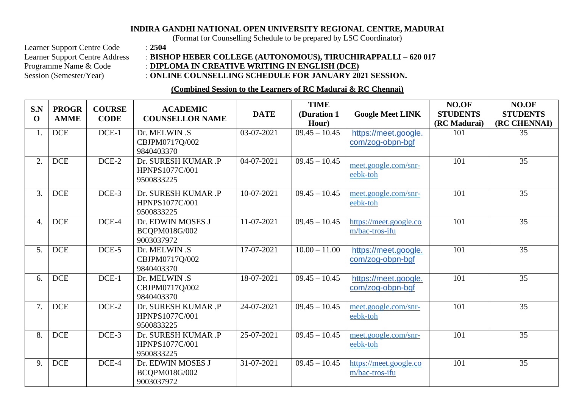## **INDIRA GANDHI NATIONAL OPEN UNIVERSITY REGIONAL CENTRE, MADURAI**

(Format for Counselling Schedule to be prepared by LSC Coordinator)

Learner Support Centre Code : **2504**<br>Learner Support Centre Address : **BISE** 

## Learner Support Centre Address : **BISHOP HEBER COLLEGE (AUTONOMOUS), TIRUCHIRAPPALLI – 620 017**<br>Programme Name & Code : **DIPLOMA IN CREATIVE WRITING IN ENGLISH (DCE)** Programme Name & Code : **DIPLOMA IN CREATIVE WRITING IN ENGLISH (DCE)**<br>Session (Semester/Year) : **ONLINE COUNSELLING SCHEDULE FOR JANUARY 20** : **ONLINE COUNSELLING SCHEDULE FOR JANUARY 2021 SESSION.**

## **(Combined Session to the Learners of RC Madurai & RC Chennai)**

| S.N<br>$\mathbf 0$ | <b>PROGR</b><br><b>AMME</b> | <b>COURSE</b><br><b>CODE</b> | <b>ACADEMIC</b><br><b>COUNSELLOR NAME</b>           | <b>DATE</b> | <b>TIME</b><br>(Duration 1<br>Hour) | <b>Google Meet LINK</b>                  | NO.OF<br><b>STUDENTS</b><br>(RC Madurai) | NO.OF<br><b>STUDENTS</b><br>(RC CHENNAI) |
|--------------------|-----------------------------|------------------------------|-----------------------------------------------------|-------------|-------------------------------------|------------------------------------------|------------------------------------------|------------------------------------------|
| 1.                 | DCE                         | $DCE-1$                      | Dr. MELWIN .S<br>CBJPM0717Q/002<br>9840403370       | 03-07-2021  | $09.45 - 10.45$                     | https://meet.google.<br>com/zog-obpn-bgf | 101                                      | 35                                       |
| 2.                 | <b>DCE</b>                  | DCE-2                        | Dr. SURESH KUMAR .P<br>HPNPS1077C/001<br>9500833225 | 04-07-2021  | $09.45 - 10.45$                     | meet.google.com/snr-<br>eebk-toh         | 101                                      | 35                                       |
| 3.                 | <b>DCE</b>                  | DCE-3                        | Dr. SURESH KUMAR .P<br>HPNPS1077C/001<br>9500833225 | 10-07-2021  | $09.45 - 10.45$                     | meet.google.com/snr-<br>eebk-toh         | 101                                      | 35                                       |
| 4.                 | $DCE$                       | $DCE-4$                      | Dr. EDWIN MOSES J<br>BCQPM018G/002<br>9003037972    | 11-07-2021  | $09.45 - 10.45$                     | https://meet.google.co<br>m/bac-tros-ifu | 101                                      | 35                                       |
| 5.                 | $DCE$                       | $DCE-5$                      | Dr. MELWIN.S<br>CBJPM0717Q/002<br>9840403370        | 17-07-2021  | $10.00 - 11.00$                     | https://meet.google.<br>com/zog-obpn-bgf | 101                                      | 35                                       |
| 6.                 | DCE                         | $DCE-1$                      | Dr. MELWIN .S<br>CBJPM0717Q/002<br>9840403370       | 18-07-2021  | $09.45 - 10.45$                     | https://meet.google.<br>com/zog-obpn-bgf | 101                                      | 35                                       |
| 7.                 | DCE                         | $DCE-2$                      | Dr. SURESH KUMAR .P<br>HPNPS1077C/001<br>9500833225 | 24-07-2021  | $09.45 - 10.45$                     | meet.google.com/snr-<br>eebk-toh         | 101                                      | $\overline{35}$                          |
| 8.                 | DCE                         | DCE-3                        | Dr. SURESH KUMAR .P<br>HPNPS1077C/001<br>9500833225 | 25-07-2021  | $09.45 - 10.45$                     | meet.google.com/snr-<br>eebk-toh         | 101                                      | 35                                       |
| 9.                 | DCE                         | DCE-4                        | Dr. EDWIN MOSES J<br>BCQPM018G/002<br>9003037972    | 31-07-2021  | $09.45 - 10.45$                     | https://meet.google.co<br>m/bac-tros-ifu | 101                                      | 35                                       |